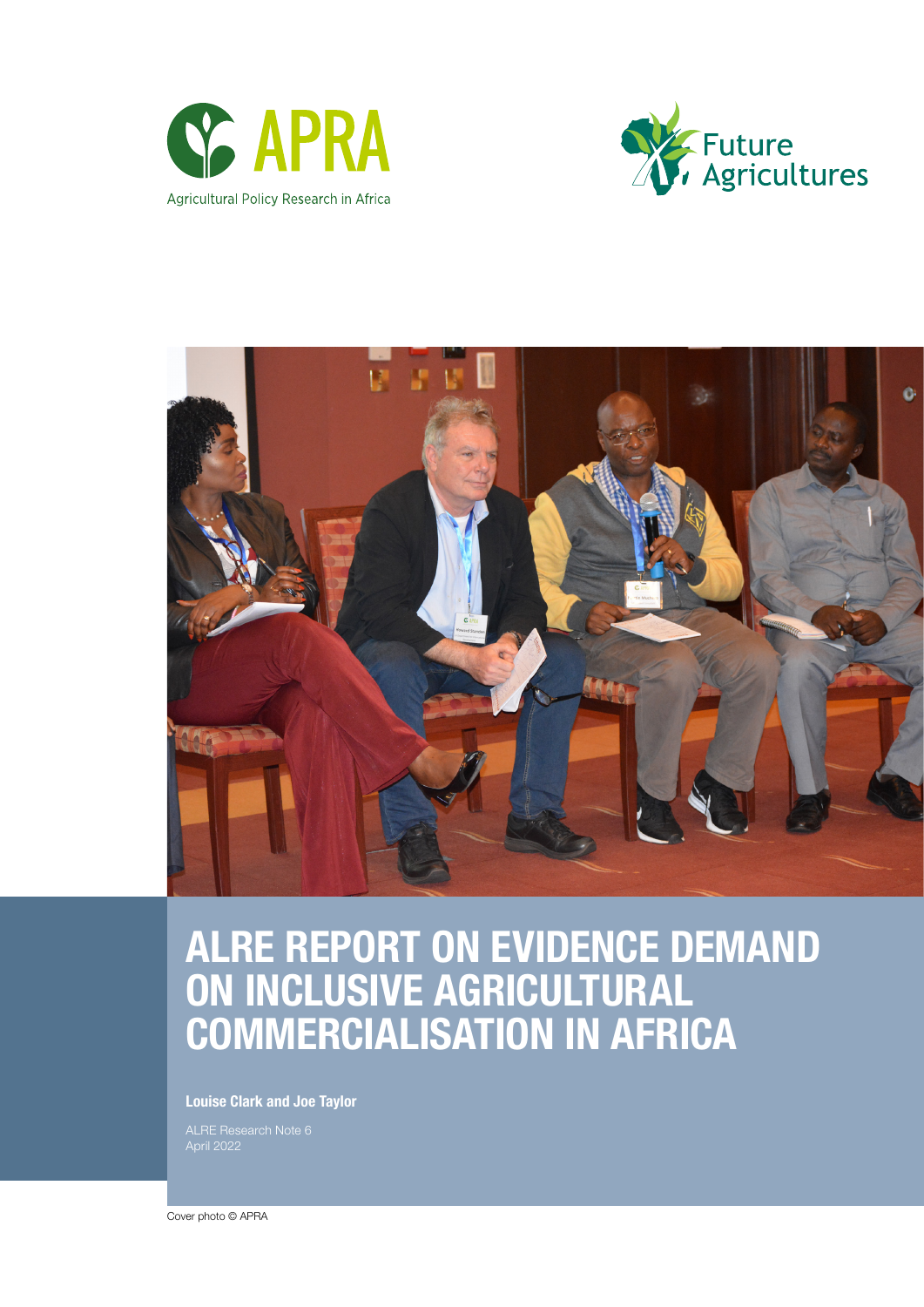





# ALRE REPORT ON EVIDENCE DEMAND ON INCLUSIVE AGRICULTURAL COMMERCIALISATION IN AFRICA

Louise Clark and Joe Taylor

ALRE Research Note 6

Cover photo © APRA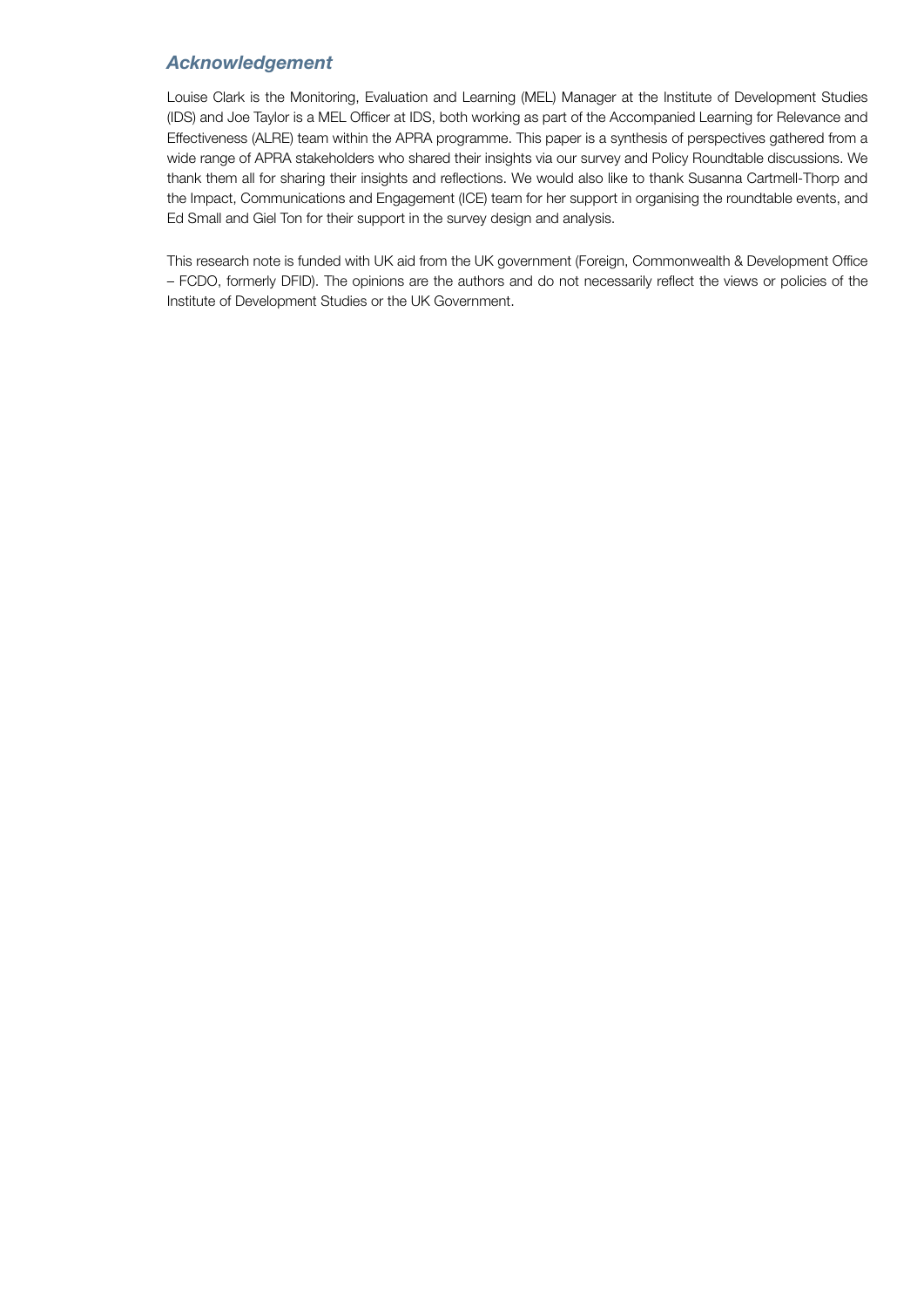# *Acknowledgement*

Louise Clark is the Monitoring, Evaluation and Learning (MEL) Manager at the Institute of Development Studies (IDS) and Joe Taylor is a MEL Officer at IDS, both working as part of the Accompanied Learning for Relevance and Effectiveness (ALRE) team within the APRA programme. This paper is a synthesis of perspectives gathered from a wide range of APRA stakeholders who shared their insights via our survey and Policy Roundtable discussions. We thank them all for sharing their insights and reflections. We would also like to thank Susanna Cartmell-Thorp and the Impact, Communications and Engagement (ICE) team for her support in organising the roundtable events, and Ed Small and Giel Ton for their support in the survey design and analysis.

This research note is funded with UK aid from the UK government (Foreign, Commonwealth & Development Office – FCDO, formerly DFID). The opinions are the authors and do not necessarily reflect the views or policies of the Institute of Development Studies or the UK Government.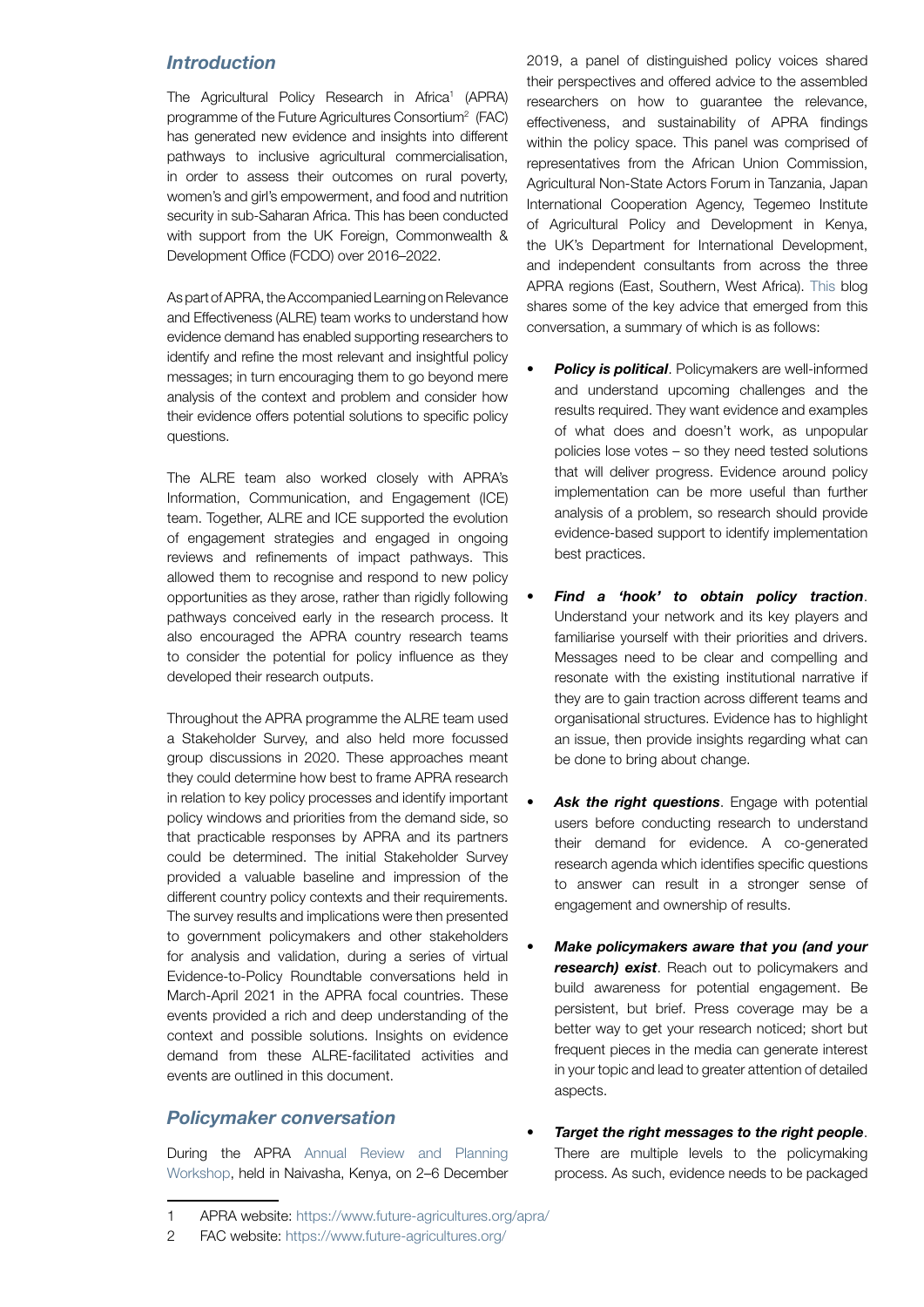# *Introduction*

The Agricultural Policy Research in Africa<sup>1</sup> (APRA) programme of the Future Agricultures Consortium<sup>2</sup> (FAC) has generated new evidence and insights into different pathways to inclusive agricultural commercialisation, in order to assess their outcomes on rural poverty, women's and girl's empowerment, and food and nutrition security in sub-Saharan Africa. This has been conducted with support from the UK Foreign, Commonwealth & Development Office (FCDO) over 2016–2022.

As part of APRA, the Accompanied Learning on Relevance and Effectiveness (ALRE) team works to understand how evidence demand has enabled supporting researchers to identify and refine the most relevant and insightful policy messages; in turn encouraging them to go beyond mere analysis of the context and problem and consider how their evidence offers potential solutions to specific policy questions.

The ALRE team also worked closely with APRA's Information, Communication, and Engagement (ICE) team. Together, ALRE and ICE supported the evolution of engagement strategies and engaged in ongoing reviews and refinements of impact pathways. This allowed them to recognise and respond to new policy opportunities as they arose, rather than rigidly following pathways conceived early in the research process. It also encouraged the APRA country research teams to consider the potential for policy influence as they developed their research outputs.

Throughout the APRA programme the ALRE team used a Stakeholder Survey, and also held more focussed group discussions in 2020. These approaches meant they could determine how best to frame APRA research in relation to key policy processes and identify important policy windows and priorities from the demand side, so that practicable responses by APRA and its partners could be determined. The initial Stakeholder Survey provided a valuable baseline and impression of the different country policy contexts and their requirements. The survey results and implications were then presented to government policymakers and other stakeholders for analysis and validation, during a series of virtual Evidence-to-Policy Roundtable conversations held in March-April 2021 in the APRA focal countries. These events provided a rich and deep understanding of the context and possible solutions. Insights on evidence demand from these ALRE-facilitated activities and events are outlined in this document.

# *Policymaker conversation*

During the APRA [Annual Review and Planning](https://www.future-agricultures.org/blog/apra-annual-workshop-2019-hosted-by-cabe/)  [Workshop,](https://www.future-agricultures.org/blog/apra-annual-workshop-2019-hosted-by-cabe/) held in Naivasha, Kenya, on 2–6 December 2019, a panel of distinguished policy voices shared their perspectives and offered advice to the assembled researchers on how to guarantee the relevance, effectiveness, and sustainability of APRA findings within the policy space. This panel was comprised of representatives from the African Union Commission, Agricultural Non-State Actors Forum in Tanzania, Japan International Cooperation Agency, Tegemeo Institute of Agricultural Policy and Development in Kenya, the UK's Department for International Development, and independent consultants from across the three APRA regions (East, Southern, West Africa)[. This b](https://www.future-agricultures.org/blog/top-tips-from-apras-policy-friends/)log shares some of the key advice that emerged from this conversation, a summary of which is as follows:

- *Policy is political.* Policymakers are well-informed and understand upcoming challenges and the results required. They want evidence and examples of what does and doesn't work, as unpopular policies lose votes – so they need tested solutions that will deliver progress. Evidence around policy implementation can be more useful than further analysis of a problem, so research should provide evidence-based support to identify implementation best practices.
- *• Find a 'hook' to obtain policy traction*. Understand your network and its key players and familiarise yourself with their priorities and drivers. Messages need to be clear and compelling and resonate with the existing institutional narrative if they are to gain traction across different teams and organisational structures. Evidence has to highlight an issue, then provide insights regarding what can be done to bring about change.
- Ask the right questions. Engage with potential users before conducting research to understand their demand for evidence. A co-generated research agenda which identifies specific questions to answer can result in a stronger sense of engagement and ownership of results.
- *• Make policymakers aware that you (and your*  **research) exist**. Reach out to policymakers and build awareness for potential engagement. Be persistent, but brief. Press coverage may be a better way to get your research noticed; short but frequent pieces in the media can generate interest in your topic and lead to greater attention of detailed aspects.
- *• Target the right messages to the right people*. There are multiple levels to the policymaking process. As such, evidence needs to be packaged

<sup>1</sup> APRA website[: https://www.future-agricultures.org/apra/](https://www.future-agricultures.org/apra/)

<sup>2</sup> FAC website[: https://www.future-agricultures.org/](https://www.future-agricultures.org)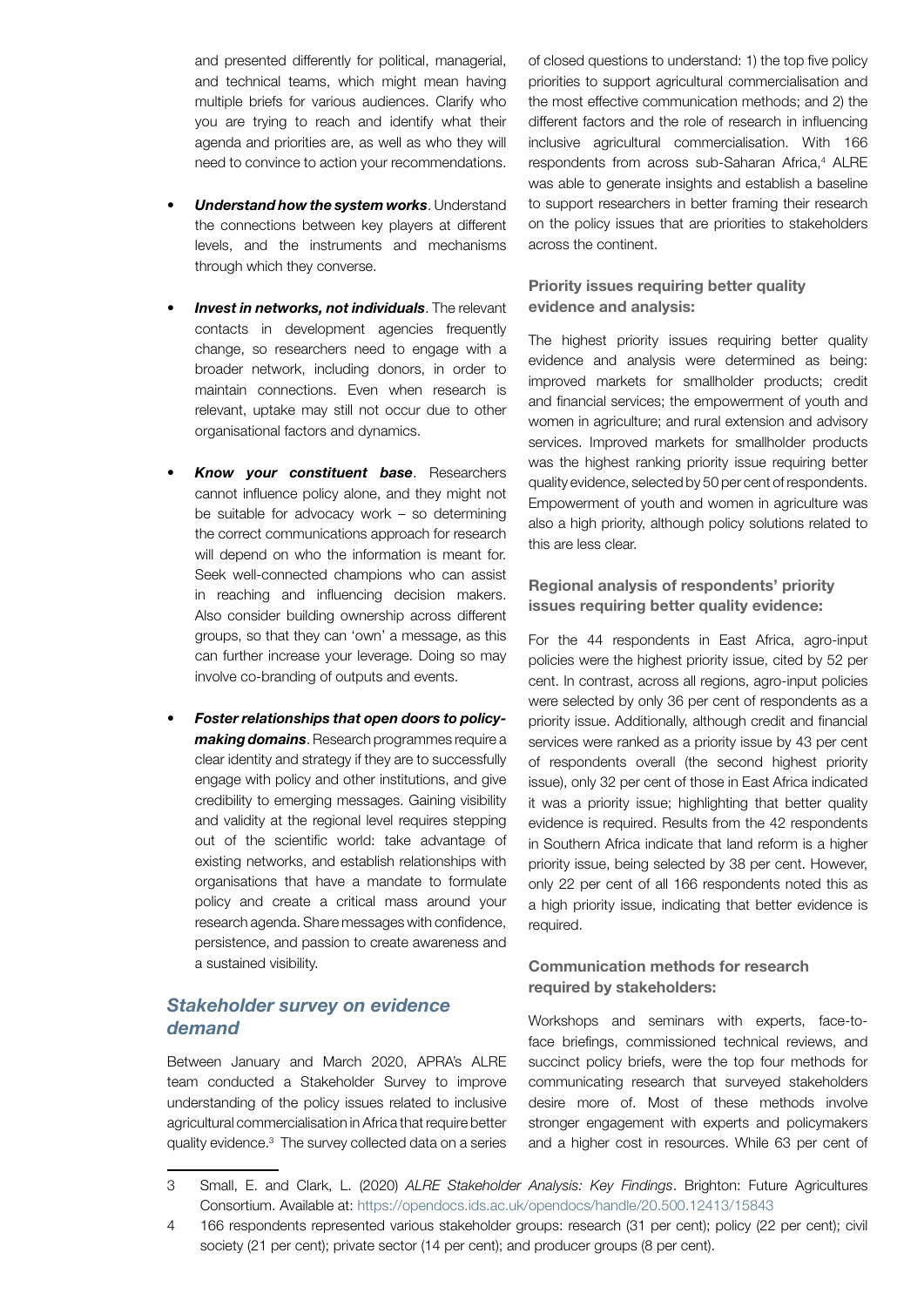and presented differently for political, managerial, and technical teams, which might mean having multiple briefs for various audiences. Clarify who you are trying to reach and identify what their agenda and priorities are, as well as who they will need to convince to action your recommendations.

- *• Understand how the system works*. Understand the connections between key players at different levels, and the instruments and mechanisms through which they converse.
- *• Invest in networks, not individuals*. The relevant contacts in development agencies frequently change, so researchers need to engage with a broader network, including donors, in order to maintain connections. Even when research is relevant, uptake may still not occur due to other organisational factors and dynamics.
- *• Know your constituent base*. Researchers cannot influence policy alone, and they might not be suitable for advocacy work – so determining the correct communications approach for research will depend on who the information is meant for. Seek well-connected champions who can assist in reaching and influencing decision makers. Also consider building ownership across different groups, so that they can 'own' a message, as this can further increase your leverage. Doing so may involve co-branding of outputs and events.
- *• Foster relationships that open doors to policymaking domains*. Research programmes require a clear identity and strategy if they are to successfully engage with policy and other institutions, and give credibility to emerging messages. Gaining visibility and validity at the regional level requires stepping out of the scientific world: take advantage of existing networks, and establish relationships with organisations that have a mandate to formulate policy and create a critical mass around your research agenda. Share messages with confidence, persistence, and passion to create awareness and a sustained visibility.

# *Stakeholder survey on evidence demand*

Between January and March 2020, APRA's ALRE team conducted a Stakeholder Survey to improve understanding of the policy issues related to inclusive agricultural commercialisation in Africa that require better quality evidence.<sup>3</sup> The survey collected data on a series

of closed questions to understand: 1) the top five policy priorities to support agricultural commercialisation and the most effective communication methods; and 2) the different factors and the role of research in influencing inclusive agricultural commercialisation. With 166 respondents from across sub-Saharan Africa,<sup>4</sup> ALRE was able to generate insights and establish a baseline to support researchers in better framing their research on the policy issues that are priorities to stakeholders across the continent.

# Priority issues requiring better quality evidence and analysis:

The highest priority issues requiring better quality evidence and analysis were determined as being: improved markets for smallholder products; credit and financial services; the empowerment of youth and women in agriculture; and rural extension and advisory services. Improved markets for smallholder products was the highest ranking priority issue requiring better quality evidence, selected by 50 per cent of respondents. Empowerment of youth and women in agriculture was also a high priority, although policy solutions related to this are less clear.

# Regional analysis of respondents' priority issues requiring better quality evidence:

For the 44 respondents in East Africa, agro-input policies were the highest priority issue, cited by 52 per cent. In contrast, across all regions, agro-input policies were selected by only 36 per cent of respondents as a priority issue. Additionally, although credit and financial services were ranked as a priority issue by 43 per cent of respondents overall (the second highest priority issue), only 32 per cent of those in East Africa indicated it was a priority issue; highlighting that better quality evidence is required. Results from the 42 respondents in Southern Africa indicate that land reform is a higher priority issue, being selected by 38 per cent. However, only 22 per cent of all 166 respondents noted this as a high priority issue, indicating that better evidence is required.

# Communication methods for research required by stakeholders:

Workshops and seminars with experts, face-toface briefings, commissioned technical reviews, and succinct policy briefs, were the top four methods for communicating research that surveyed stakeholders desire more of. Most of these methods involve stronger engagement with experts and policymakers and a higher cost in resources. While 63 per cent of

<sup>3</sup> Small, E. and Clark, L. (2020) *ALRE Stakeholder Analysis: Key Findings*. Brighton: Future Agricultures Consortium. Available a[t: https://opendocs.ids.ac.uk/opendocs/handle/20.500.12413/15843](https://opendocs.ids.ac.uk/opendocs/handle/20.500.12413/15843)

<sup>4</sup> 166 respondents represented various stakeholder groups: research (31 per cent); policy (22 per cent); civil society (21 per cent); private sector (14 per cent); and producer groups (8 per cent).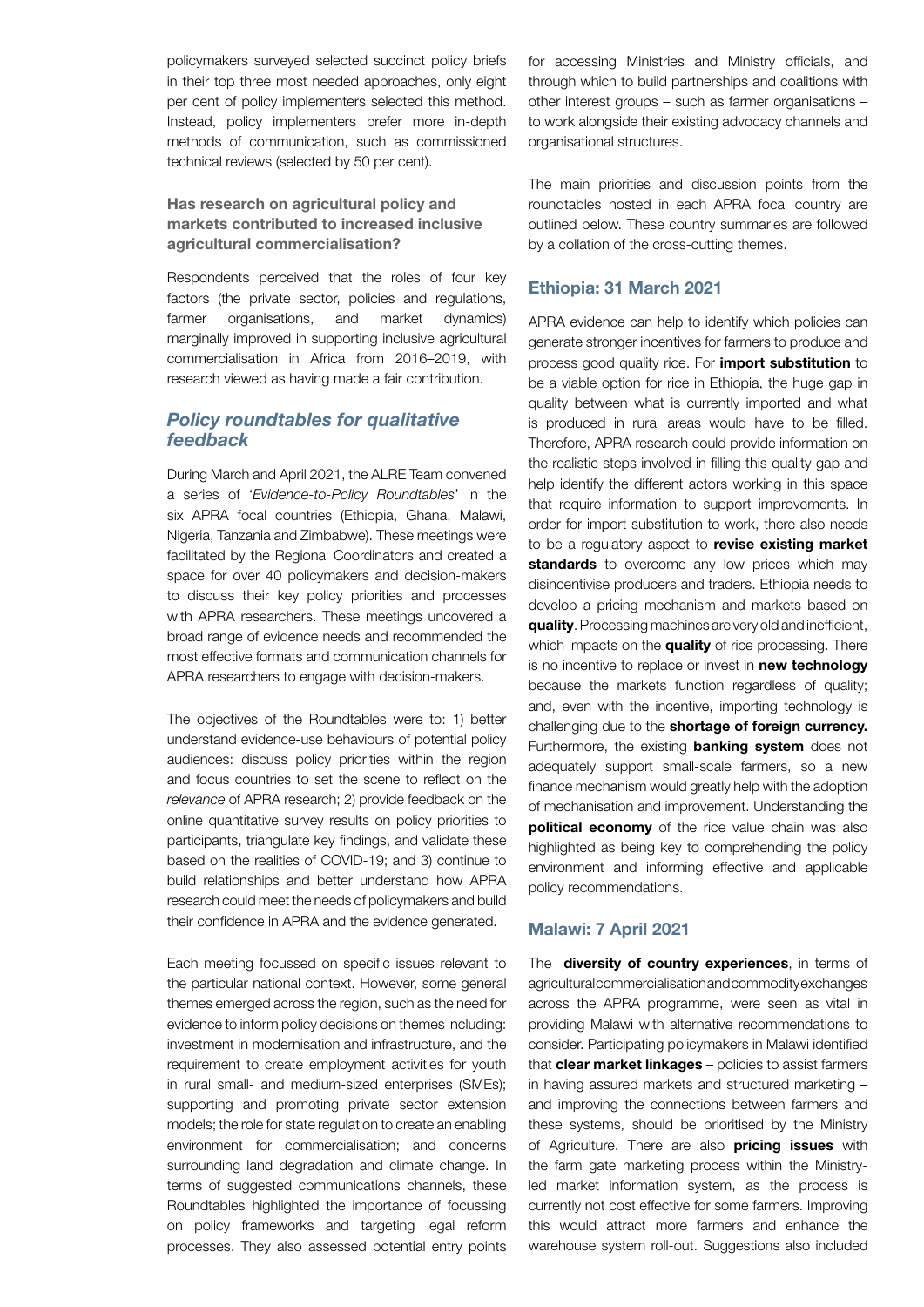policymakers surveyed selected succinct policy briefs in their top three most needed approaches, only eight per cent of policy implementers selected this method. Instead, policy implementers prefer more in-depth methods of communication, such as commissioned technical reviews (selected by 50 per cent).

# Has research on agricultural policy and markets contributed to increased inclusive agricultural commercialisation?

Respondents perceived that the roles of four key factors (the private sector, policies and regulations, farmer organisations, and market dynamics) marginally improved in supporting inclusive agricultural commercialisation in Africa from 2016–2019, with research viewed as having made a fair contribution.

# *Policy roundtables for qualitative feedback*

During March and April 2021, the ALRE Team convened a series of '*Evidence-to-Policy Roundtables*' in the six APRA focal countries (Ethiopia, Ghana, Malawi, Nigeria, Tanzania and Zimbabwe). These meetings were facilitated by the Regional Coordinators and created a space for over 40 policymakers and decision-makers to discuss their key policy priorities and processes with APRA researchers. These meetings uncovered a broad range of evidence needs and recommended the most effective formats and communication channels for APRA researchers to engage with decision-makers.

The objectives of the Roundtables were to: 1) better understand evidence-use behaviours of potential policy audiences: discuss policy priorities within the region and focus countries to set the scene to reflect on the *relevance* of APRA research; 2) provide feedback on the online quantitative survey results on policy priorities to participants, triangulate key findings, and validate these based on the realities of COVID-19; and 3) continue to build relationships and better understand how APRA research could meet the needs of policymakers and build their confidence in APRA and the evidence generated.

Each meeting focussed on specific issues relevant to the particular national context. However, some general themes emerged across the region, such as the need for evidence to inform policy decisions on themes including: investment in modernisation and infrastructure, and the requirement to create employment activities for youth in rural small- and medium-sized enterprises (SMEs); supporting and promoting private sector extension models; the role for state regulation to create an enabling environment for commercialisation; and concerns surrounding land degradation and climate change. In terms of suggested communications channels, these Roundtables highlighted the importance of focussing on policy frameworks and targeting legal reform processes. They also assessed potential entry points

for accessing Ministries and Ministry officials, and through which to build partnerships and coalitions with other interest groups – such as farmer organisations – to work alongside their existing advocacy channels and organisational structures.

The main priorities and discussion points from the roundtables hosted in each APRA focal country are outlined below. These country summaries are followed by a collation of the cross-cutting themes.

# Ethiopia: 31 March 2021

APRA evidence can help to identify which policies can generate stronger incentives for farmers to produce and process good quality rice. For *import substitution* to be a viable option for rice in Ethiopia, the huge gap in quality between what is currently imported and what is produced in rural areas would have to be filled. Therefore, APRA research could provide information on the realistic steps involved in filling this quality gap and help identify the different actors working in this space that require information to support improvements. In order for import substitution to work, there also needs to be a regulatory aspect to **revise existing market** standards to overcome any low prices which may disincentivise producers and traders. Ethiopia needs to develop a pricing mechanism and markets based on quality. Processing machines are very old and inefficient, which impacts on the **quality** of rice processing. There is no incentive to replace or invest in new technology because the markets function regardless of quality; and, even with the incentive, importing technology is challenging due to the **shortage of foreign currency.** Furthermore, the existing **banking system** does not adequately support small-scale farmers, so a new finance mechanism would greatly help with the adoption of mechanisation and improvement. Understanding the political economy of the rice value chain was also highlighted as being key to comprehending the policy environment and informing effective and applicable policy recommendations.

## Malawi: 7 April 2021

The diversity of country experiences, in terms of agricultural commercialisation and commodity exchanges across the APRA programme, were seen as vital in providing Malawi with alternative recommendations to consider. Participating policymakers in Malawi identified that clear market linkages - policies to assist farmers in having assured markets and structured marketing – and improving the connections between farmers and these systems, should be prioritised by the Ministry of Agriculture. There are also **pricing issues** with the farm gate marketing process within the Ministryled market information system, as the process is currently not cost effective for some farmers. Improving this would attract more farmers and enhance the warehouse system roll-out. Suggestions also included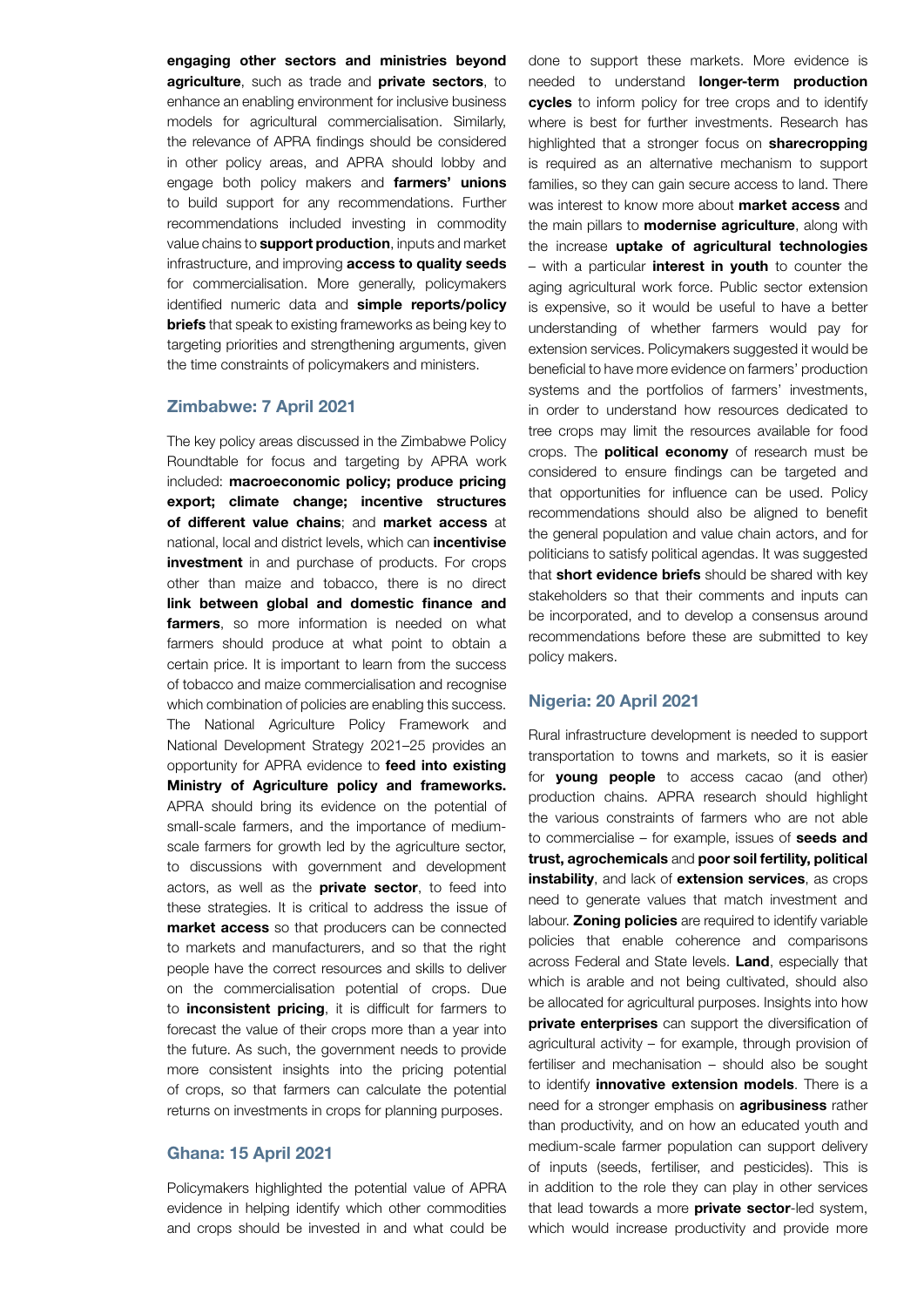engaging other sectors and ministries beyond agriculture, such as trade and private sectors, to enhance an enabling environment for inclusive business models for agricultural commercialisation. Similarly, the relevance of APRA findings should be considered in other policy areas, and APRA should lobby and engage both policy makers and **farmers' unions** to build support for any recommendations. Further recommendations included investing in commodity value chains to **support production**, inputs and market infrastructure, and improving **access to quality seeds** for commercialisation. More generally, policymakers identified numeric data and simple reports/policy **briefs** that speak to existing frameworks as being key to targeting priorities and strengthening arguments, given the time constraints of policymakers and ministers.

## Zimbabwe: 7 April 2021

The key policy areas discussed in the Zimbabwe Policy Roundtable for focus and targeting by APRA work included: macroeconomic policy; produce pricing export; climate change; incentive structures of different value chains; and market access at national, local and district levels, which can **incentivise investment** in and purchase of products. For crops other than maize and tobacco, there is no direct link between global and domestic finance and farmers, so more information is needed on what farmers should produce at what point to obtain a certain price. It is important to learn from the success of tobacco and maize commercialisation and recognise which combination of policies are enabling this success. The National Agriculture Policy Framework and National Development Strategy 2021–25 provides an opportunity for APRA evidence to feed into existing Ministry of Agriculture policy and frameworks. APRA should bring its evidence on the potential of small-scale farmers, and the importance of mediumscale farmers for growth led by the agriculture sector, to discussions with government and development actors, as well as the **private sector**, to feed into these strategies. It is critical to address the issue of market access so that producers can be connected to markets and manufacturers, and so that the right people have the correct resources and skills to deliver on the commercialisation potential of crops. Due to inconsistent pricing, it is difficult for farmers to forecast the value of their crops more than a year into the future. As such, the government needs to provide more consistent insights into the pricing potential of crops, so that farmers can calculate the potential returns on investments in crops for planning purposes.

#### Ghana: 15 April 2021

Policymakers highlighted the potential value of APRA evidence in helping identify which other commodities and crops should be invested in and what could be

done to support these markets. More evidence is needed to understand **longer-term production** cycles to inform policy for tree crops and to identify where is best for further investments. Research has highlighted that a stronger focus on **sharecropping** is required as an alternative mechanism to support families, so they can gain secure access to land. There was interest to know more about **market access** and the main pillars to **modernise agriculture**, along with the increase uptake of agricultural technologies – with a particular interest in youth to counter the aging agricultural work force. Public sector extension is expensive, so it would be useful to have a better understanding of whether farmers would pay for extension services. Policymakers suggested it would be beneficial to have more evidence on farmers' production systems and the portfolios of farmers' investments, in order to understand how resources dedicated to tree crops may limit the resources available for food crops. The **political economy** of research must be considered to ensure findings can be targeted and that opportunities for influence can be used. Policy recommendations should also be aligned to benefit the general population and value chain actors, and for politicians to satisfy political agendas. It was suggested that **short evidence briefs** should be shared with key stakeholders so that their comments and inputs can be incorporated, and to develop a consensus around recommendations before these are submitted to key policy makers.

#### Nigeria: 20 April 2021

Rural infrastructure development is needed to support transportation to towns and markets, so it is easier for **young people** to access cacao (and other) production chains. APRA research should highlight the various constraints of farmers who are not able to commercialise  $-$  for example, issues of seeds and trust, agrochemicals and poor soil fertility, political instability, and lack of extension services, as crops need to generate values that match investment and labour. Zoning policies are required to identify variable policies that enable coherence and comparisons across Federal and State levels. Land, especially that which is arable and not being cultivated, should also be allocated for agricultural purposes. Insights into how private enterprises can support the diversification of agricultural activity – for example, through provision of fertiliser and mechanisation – should also be sought to identify **innovative extension models**. There is a need for a stronger emphasis on **agribusiness** rather than productivity, and on how an educated youth and medium-scale farmer population can support delivery of inputs (seeds, fertiliser, and pesticides). This is in addition to the role they can play in other services that lead towards a more **private sector**-led system, which would increase productivity and provide more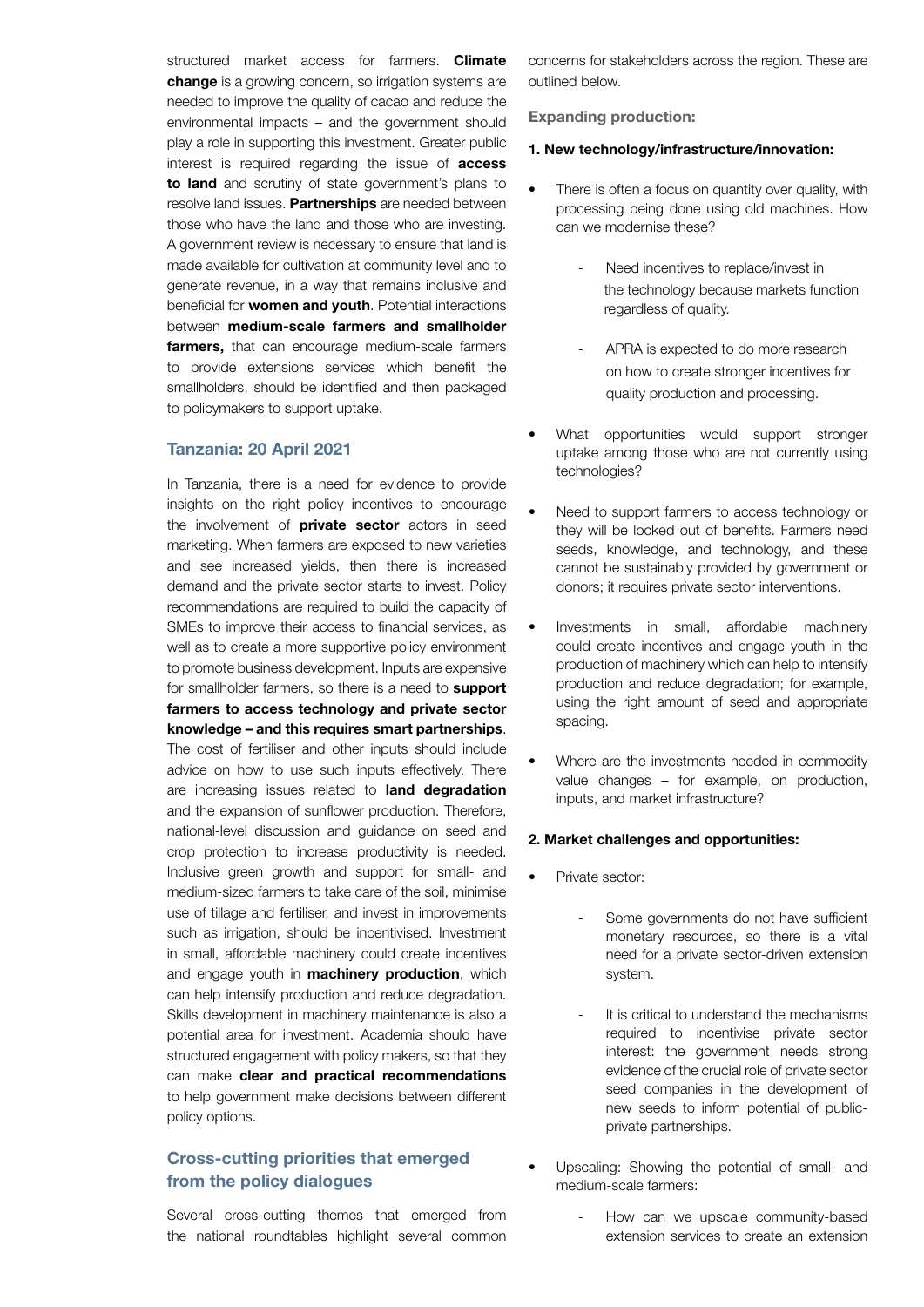structured market access for farmers. **Climate** change is a growing concern, so irrigation systems are needed to improve the quality of cacao and reduce the environmental impacts – and the government should play a role in supporting this investment. Greater public interest is required regarding the issue of **access** to land and scrutiny of state government's plans to resolve land issues. Partnerships are needed between those who have the land and those who are investing. A government review is necessary to ensure that land is made available for cultivation at community level and to generate revenue, in a way that remains inclusive and beneficial for **women and youth**. Potential interactions between medium-scale farmers and smallholder farmers, that can encourage medium-scale farmers to provide extensions services which benefit the smallholders, should be identified and then packaged to policymakers to support uptake.

### Tanzania: 20 April 2021

In Tanzania, there is a need for evidence to provide insights on the right policy incentives to encourage the involvement of **private sector** actors in seed marketing. When farmers are exposed to new varieties and see increased yields, then there is increased demand and the private sector starts to invest. Policy recommendations are required to build the capacity of SMEs to improve their access to financial services, as well as to create a more supportive policy environment to promote business development. Inputs are expensive for smallholder farmers, so there is a need to support farmers to access technology and private sector knowledge – and this requires smart partnerships. The cost of fertiliser and other inputs should include advice on how to use such inputs effectively. There are increasing issues related to land degradation and the expansion of sunflower production. Therefore, national-level discussion and guidance on seed and crop protection to increase productivity is needed. Inclusive green growth and support for small- and medium-sized farmers to take care of the soil, minimise use of tillage and fertiliser, and invest in improvements such as irrigation, should be incentivised. Investment in small, affordable machinery could create incentives and engage youth in **machinery production**, which can help intensify production and reduce degradation. Skills development in machinery maintenance is also a potential area for investment. Academia should have structured engagement with policy makers, so that they can make clear and practical recommendations to help government make decisions between different policy options.

# Cross-cutting priorities that emerged from the policy dialogues

Several cross-cutting themes that emerged from the national roundtables highlight several common

concerns for stakeholders across the region. These are outlined below.

#### Expanding production:

#### 1. New technology/infrastructure/innovation:

- There is often a focus on quantity over quality, with processing being done using old machines. How can we modernise these?
	- Need incentives to replace/invest in the technology because markets function regardless of quality.
	- APRA is expected to do more research on how to create stronger incentives for quality production and processing.
- What opportunities would support stronger uptake among those who are not currently using technologies?
- Need to support farmers to access technology or they will be locked out of benefits. Farmers need seeds, knowledge, and technology, and these cannot be sustainably provided by government or donors; it requires private sector interventions.
- Investments in small, affordable machinery could create incentives and engage youth in the production of machinery which can help to intensify production and reduce degradation; for example, using the right amount of seed and appropriate spacing.
- Where are the investments needed in commodity value changes – for example, on production, inputs, and market infrastructure?

#### 2. Market challenges and opportunities:

- Private sector:
	- Some governments do not have sufficient monetary resources, so there is a vital need for a private sector-driven extension system.
	- It is critical to understand the mechanisms required to incentivise private sector interest: the government needs strong evidence of the crucial role of private sector seed companies in the development of new seeds to inform potential of publicprivate partnerships.
- Upscaling: Showing the potential of small- and medium-scale farmers:
	- How can we upscale community-based extension services to create an extension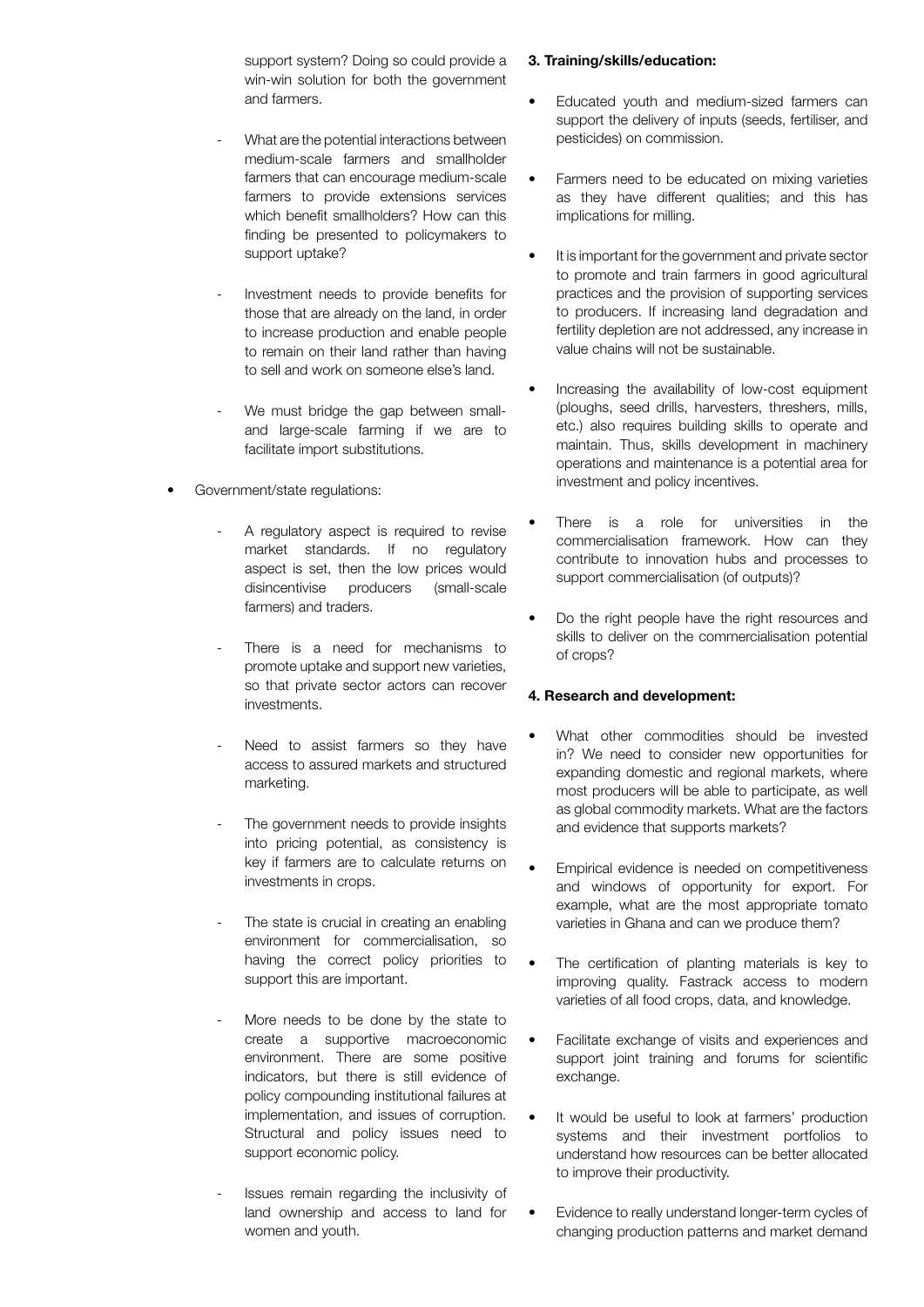support system? Doing so could provide a win-win solution for both the government and farmers.

- What are the potential interactions between medium-scale farmers and smallholder farmers that can encourage medium-scale farmers to provide extensions services which benefit smallholders? How can this finding be presented to policymakers to support uptake?
- Investment needs to provide benefits for those that are already on the land, in order to increase production and enable people to remain on their land rather than having to sell and work on someone else's land.
- We must bridge the gap between smalland large-scale farming if we are to facilitate import substitutions.
- Government/state regulations:
	- A regulatory aspect is required to revise market standards. If no regulatory aspect is set, then the low prices would disincentivise producers (small-scale farmers) and traders.
	- There is a need for mechanisms to promote uptake and support new varieties, so that private sector actors can recover investments.
	- Need to assist farmers so they have access to assured markets and structured marketing.
	- The government needs to provide insights into pricing potential, as consistency is key if farmers are to calculate returns on investments in crops.
	- The state is crucial in creating an enabling environment for commercialisation, so having the correct policy priorities to support this are important.
	- More needs to be done by the state to create a supportive macroeconomic environment. There are some positive indicators, but there is still evidence of policy compounding institutional failures at implementation, and issues of corruption. Structural and policy issues need to support economic policy.
	- Issues remain regarding the inclusivity of land ownership and access to land for women and youth.

# 3. Training/skills/education:

- Educated youth and medium-sized farmers can support the delivery of inputs (seeds, fertiliser, and pesticides) on commission.
- Farmers need to be educated on mixing varieties as they have different qualities; and this has implications for milling.
- It is important for the government and private sector to promote and train farmers in good agricultural practices and the provision of supporting services to producers. If increasing land degradation and fertility depletion are not addressed, any increase in value chains will not be sustainable.
- Increasing the availability of low-cost equipment (ploughs, seed drills, harvesters, threshers, mills, etc.) also requires building skills to operate and maintain. Thus, skills development in machinery operations and maintenance is a potential area for investment and policy incentives.
- There is a role for universities in the commercialisation framework. How can they contribute to innovation hubs and processes to support commercialisation (of outputs)?
- Do the right people have the right resources and skills to deliver on the commercialisation potential of crops?

# 4. Research and development:

- What other commodities should be invested in? We need to consider new opportunities for expanding domestic and regional markets, where most producers will be able to participate, as well as global commodity markets. What are the factors and evidence that supports markets?
- Empirical evidence is needed on competitiveness and windows of opportunity for export. For example, what are the most appropriate tomato varieties in Ghana and can we produce them?
- The certification of planting materials is key to improving quality. Fastrack access to modern varieties of all food crops, data, and knowledge.
- Facilitate exchange of visits and experiences and support joint training and forums for scientific exchange.
- It would be useful to look at farmers' production systems and their investment portfolios to understand how resources can be better allocated to improve their productivity.
- Evidence to really understand longer-term cycles of changing production patterns and market demand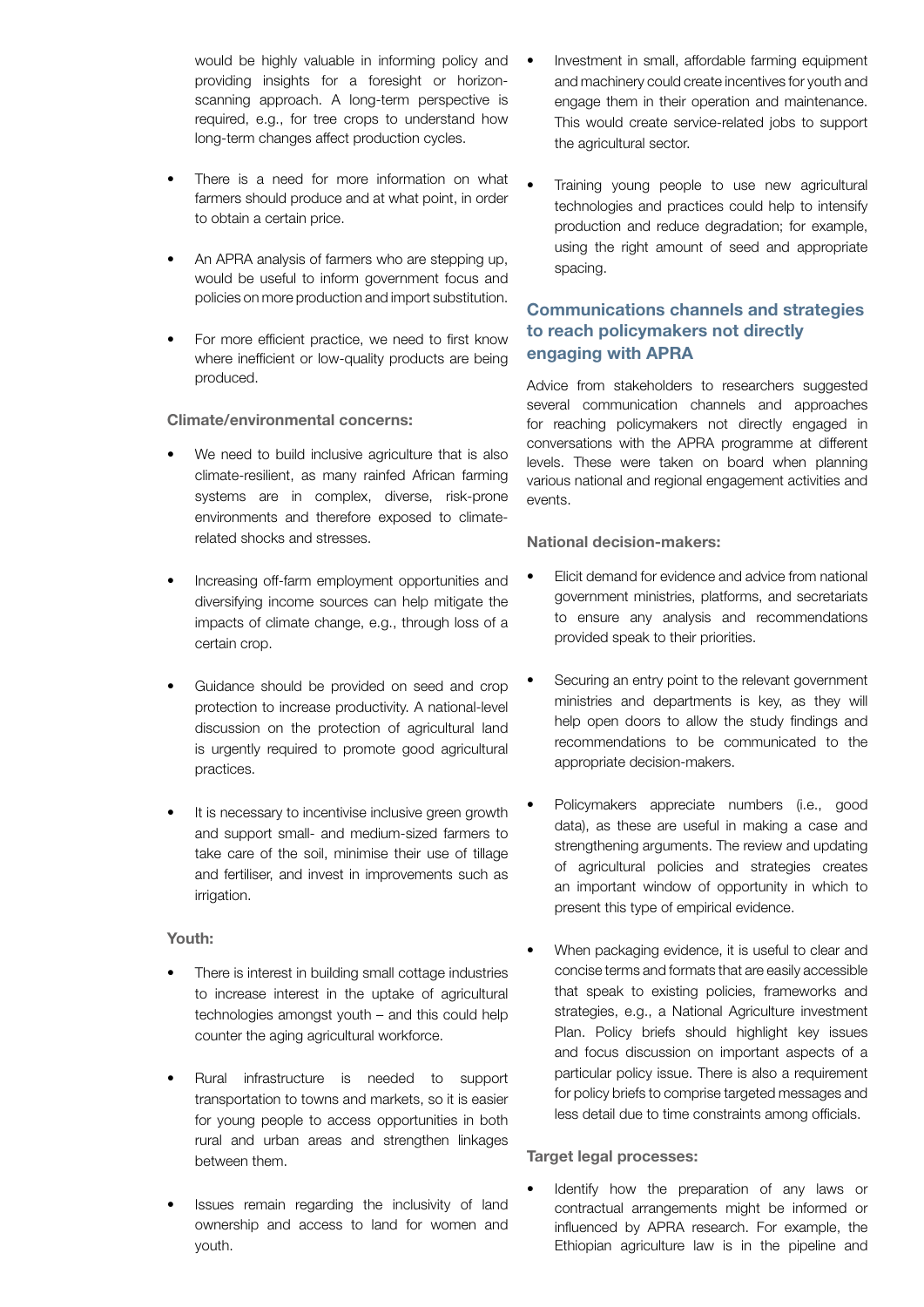would be highly valuable in informing policy and providing insights for a foresight or horizonscanning approach. A long-term perspective is required, e.g., for tree crops to understand how long-term changes affect production cycles.

- There is a need for more information on what farmers should produce and at what point, in order to obtain a certain price.
- An APRA analysis of farmers who are stepping up, would be useful to inform government focus and policies on more production and import substitution.
- For more efficient practice, we need to first know where inefficient or low-quality products are being produced.

# Climate/environmental concerns:

- We need to build inclusive agriculture that is also climate-resilient, as many rainfed African farming systems are in complex, diverse, risk-prone environments and therefore exposed to climaterelated shocks and stresses.
- Increasing off-farm employment opportunities and diversifying income sources can help mitigate the impacts of climate change, e.g., through loss of a certain crop.
- Guidance should be provided on seed and crop protection to increase productivity. A national-level discussion on the protection of agricultural land is urgently required to promote good agricultural practices.
- It is necessary to incentivise inclusive green growth and support small- and medium-sized farmers to take care of the soil, minimise their use of tillage and fertiliser, and invest in improvements such as irrigation.

## Youth:

- There is interest in building small cottage industries to increase interest in the uptake of agricultural technologies amongst youth – and this could help counter the aging agricultural workforce.
- Rural infrastructure is needed to support transportation to towns and markets, so it is easier for young people to access opportunities in both rural and urban areas and strengthen linkages between them.
- Issues remain regarding the inclusivity of land ownership and access to land for women and youth.
- Investment in small, affordable farming equipment and machinery could create incentives for youth and engage them in their operation and maintenance. This would create service-related jobs to support the agricultural sector.
- Training young people to use new agricultural technologies and practices could help to intensify production and reduce degradation; for example, using the right amount of seed and appropriate spacing.

# Communications channels and strategies to reach policymakers not directly engaging with APRA

Advice from stakeholders to researchers suggested several communication channels and approaches for reaching policymakers not directly engaged in conversations with the APRA programme at different levels. These were taken on board when planning various national and regional engagement activities and events.

## National decision-makers:

- Elicit demand for evidence and advice from national government ministries, platforms, and secretariats to ensure any analysis and recommendations provided speak to their priorities.
- Securing an entry point to the relevant government ministries and departments is key, as they will help open doors to allow the study findings and recommendations to be communicated to the appropriate decision-makers.
- Policymakers appreciate numbers (i.e., good data), as these are useful in making a case and strengthening arguments. The review and updating of agricultural policies and strategies creates an important window of opportunity in which to present this type of empirical evidence.
- When packaging evidence, it is useful to clear and concise terms and formats that are easily accessible that speak to existing policies, frameworks and strategies, e.g., a National Agriculture investment Plan. Policy briefs should highlight key issues and focus discussion on important aspects of a particular policy issue. There is also a requirement for policy briefs to comprise targeted messages and less detail due to time constraints among officials.

#### Target legal processes:

Identify how the preparation of any laws or contractual arrangements might be informed or influenced by APRA research. For example, the Ethiopian agriculture law is in the pipeline and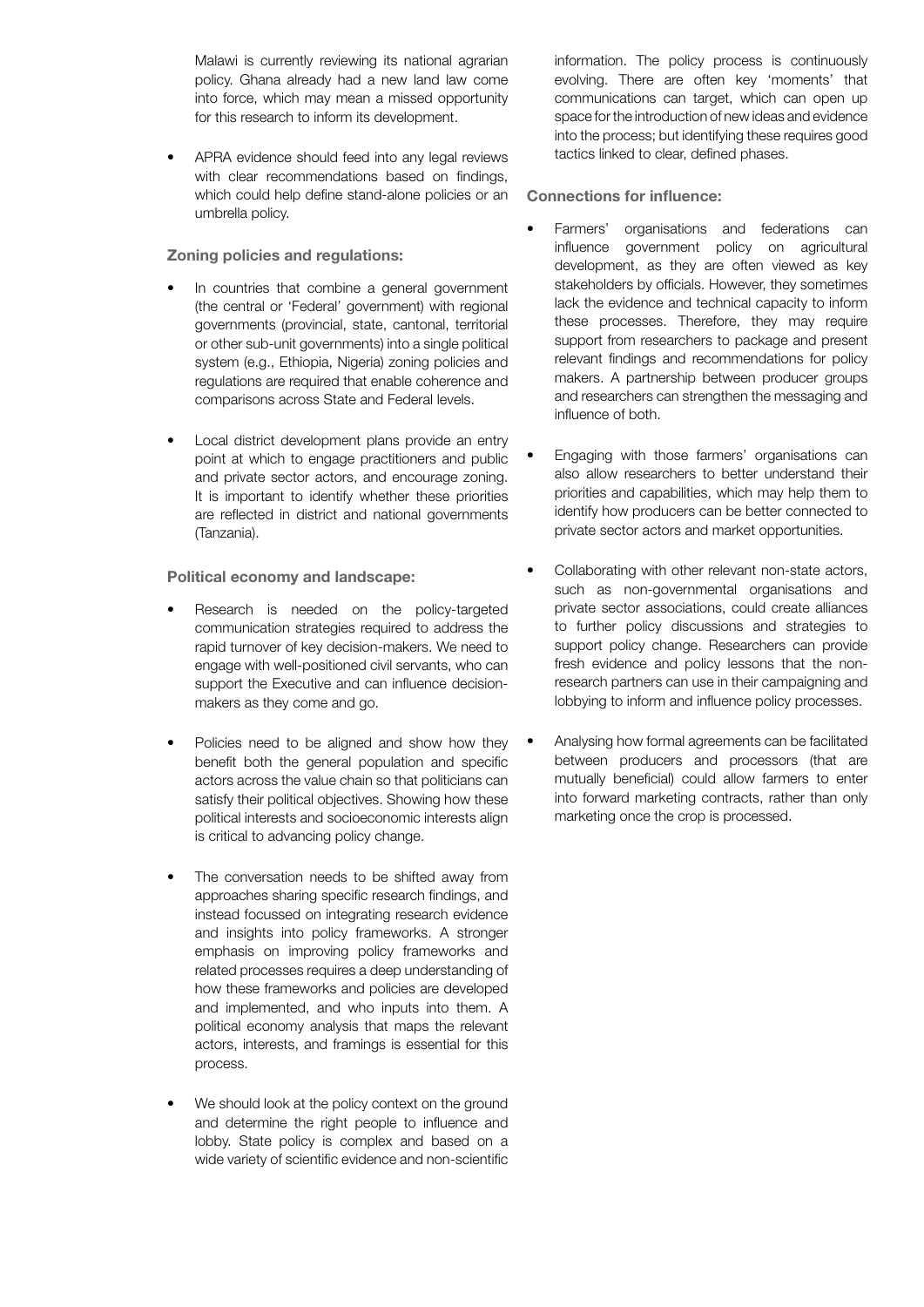Malawi is currently reviewing its national agrarian policy. Ghana already had a new land law come into force, which may mean a missed opportunity for this research to inform its development.

APRA evidence should feed into any legal reviews with clear recommendations based on findings, which could help define stand-alone policies or an umbrella policy.

## Zoning policies and regulations:

- In countries that combine a general government (the central or 'Federal' government) with regional governments (provincial, state, cantonal, territorial or other sub-unit governments) into a single political system (e.g., Ethiopia, Nigeria) zoning policies and regulations are required that enable coherence and comparisons across State and Federal levels.
- Local district development plans provide an entry point at which to engage practitioners and public and private sector actors, and encourage zoning. It is important to identify whether these priorities are reflected in district and national governments (Tanzania).

## Political economy and landscape:

- Research is needed on the policy-targeted communication strategies required to address the rapid turnover of key decision-makers. We need to engage with well-positioned civil servants, who can support the Executive and can influence decisionmakers as they come and go.
- Policies need to be aligned and show how they benefit both the general population and specific actors across the value chain so that politicians can satisfy their political objectives. Showing how these political interests and socioeconomic interests align is critical to advancing policy change.
- The conversation needs to be shifted away from approaches sharing specific research findings, and instead focussed on integrating research evidence and insights into policy frameworks. A stronger emphasis on improving policy frameworks and related processes requires a deep understanding of how these frameworks and policies are developed and implemented, and who inputs into them. A political economy analysis that maps the relevant actors, interests, and framings is essential for this process.
- We should look at the policy context on the ground and determine the right people to influence and lobby. State policy is complex and based on a wide variety of scientific evidence and non-scientific

information. The policy process is continuously evolving. There are often key 'moments' that communications can target, which can open up space for the introduction of new ideas and evidence into the process; but identifying these requires good tactics linked to clear, defined phases.

## Connections for influence:

- Farmers' organisations and federations can influence government policy on agricultural development, as they are often viewed as key stakeholders by officials. However, they sometimes lack the evidence and technical capacity to inform these processes. Therefore, they may require support from researchers to package and present relevant findings and recommendations for policy makers. A partnership between producer groups and researchers can strengthen the messaging and influence of both.
- Engaging with those farmers' organisations can also allow researchers to better understand their priorities and capabilities, which may help them to identify how producers can be better connected to private sector actors and market opportunities.
- Collaborating with other relevant non-state actors, such as non-governmental organisations and private sector associations, could create alliances to further policy discussions and strategies to support policy change. Researchers can provide fresh evidence and policy lessons that the nonresearch partners can use in their campaigning and lobbying to inform and influence policy processes.
- Analysing how formal agreements can be facilitated between producers and processors (that are mutually beneficial) could allow farmers to enter into forward marketing contracts, rather than only marketing once the crop is processed.